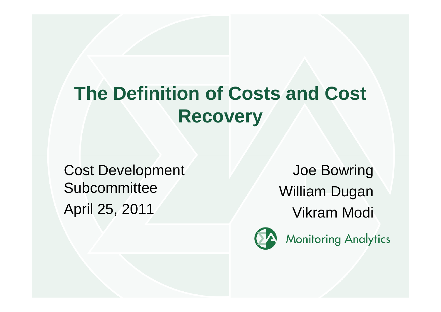# **The Definition of Costs and Cost Recovery**

Cost Development **Subcommittee** April 25, 2011

Joe BowringWilliam DuganVikram Modi



**Monitoring Analytics**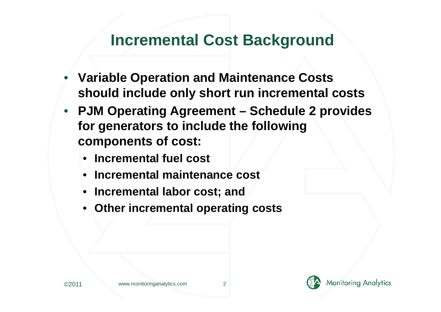## **Incremental Cost Background**

- • **Variable Operation and Maintenance Costs should include only short run incremental costs**
- **PJM Operating Agreement – Schedule 2 provides for generators to include the following components of cost:**
	- **Incremental fuel cost**
	- •**Incremental maintenance cost**
	- **Incremental labor cost; and**
	- **Other incremental operating costs**



2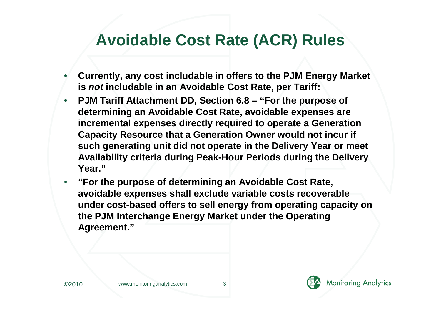### **Avoidable Cost Rate (ACR) Rules**

- • **Currently, any cost includable in offers to the PJM Energy Market is not includable in an Avoidable Cost Rate, per Tariff:**
- • **PJM Tariff Attachment DD, Section 6.8 – "For the purpose of determining an Avoidable Cost Rate, avoidable expenses are incremental expenses directly required to operate a Generation Capacity Resource that a Generation Owner would not incur if such generating unit did not operate in the Delivery Year or meet Availability criteria during Peak-Hour Periods during the Delivery Year."**
- • **"For the purpose of determining an Avoidable Cost Rate, avoidable expenses shall exclude variable costs recoverable under cost-based offers to sell energy from operating capacity on the PJM Interchange Energy Market under the Operating Agreement."**

3

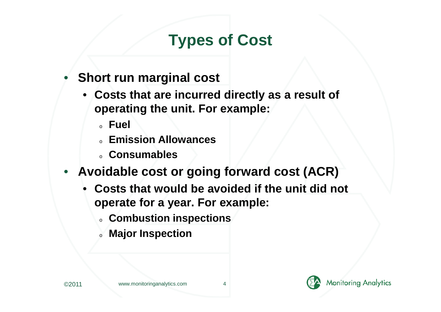# **Types of Cost**

- • **Short run marginal cost**
	- • **Costs that are incurred directly as a result of operating the unit. For example:**
		- o **Fuel**
		- o **Emission Allowances**
		- 。**Consumables**
- **Avoidable cost or going forward cost (ACR)**
	- • **Costs that would be avoided if the unit did not operate for a year. For example:**
		- **。Combustion inspections**
		- o **Major Inspection**

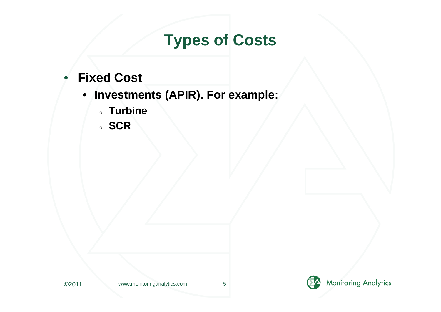## **Types of Costs**

- • **Fixed Cost**
	- **Investments (APIR). For example:**
		- o **Turbine**
		- o **SCR**

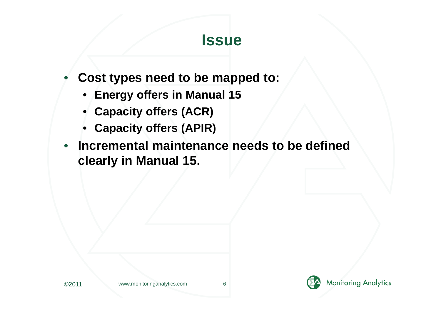## **Issue**

- • **Cost types need to be mapped to:**
	- **Energy offers in Manual 15**
	- •**Capacity offers (ACR)**
	- •**Capacity offers (APIR)**
- **Incremental maintenance needs to be defined clearly in Manual 15.**